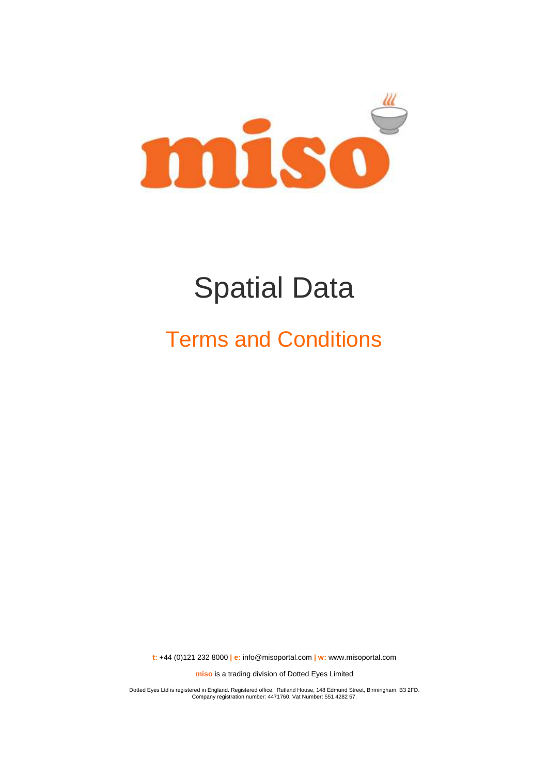

# Spatial Data

## Terms and Conditions

**t:** +44 (0)121 232 8000 **| e:** [info@misoportal.com](mailto:info@misoportal.com) **| w:** [www.misoportal.com](http://www.misoportal.com/)

**miso** is a trading division of Dotted Eyes Limited

Dotted Eyes Ltd is registered in England. Registered office: Rutland House, 148 Edmund Street, Birmingham, B3 2FD. Company registration number: 4471760. Vat Number: 551 4282 57.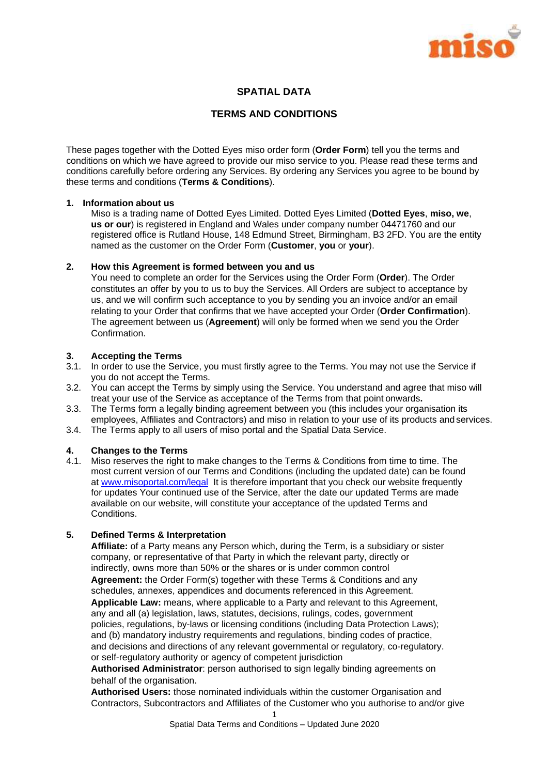

## **SPATIAL DATA**

#### **TERMS AND CONDITIONS**

These pages together with the Dotted Eyes miso order form (**Order Form**) tell you the terms and conditions on which we have agreed to provide our miso service to you. Please read these terms and conditions carefully before ordering any Services. By ordering any Services you agree to be bound by these terms and conditions (**Terms & Conditions**).

#### **1. Information about us**

Miso is a trading name of Dotted Eyes Limited. Dotted Eyes Limited (**Dotted Eyes**, **miso, we**, **us or our**) is registered in England and Wales under company number 04471760 and our registered office is Rutland House, 148 Edmund Street, Birmingham, B3 2FD. You are the entity named as the customer on the Order Form (**Customer**, **you** or **your**).

#### **2. How this Agreement is formed between you and us**

You need to complete an order for the Services using the Order Form (**Order**). The Order constitutes an offer by you to us to buy the Services. All Orders are subject to acceptance by us, and we will confirm such acceptance to you by sending you an invoice and/or an email relating to your Order that confirms that we have accepted your Order (**Order Confirmation**). The agreement between us (**Agreement**) will only be formed when we send you the Order Confirmation.

#### **3. Accepting the Terms**

- 3.1. In order to use the Service, you must firstly agree to the Terms. You may not use the Service if you do not accept the Terms.
- 3.2. You can accept the Terms by simply using the Service. You understand and agree that miso will treat your use of the Service as acceptance of the Terms from that point onwards**.**
- 3.3. The Terms form a legally binding agreement between you (this includes your organisation its employees, Affiliates and Contractors) and miso in relation to your use of its products and services.
- 3.4. The Terms apply to all users of miso portal and the Spatial Data Service.

#### **4. Changes to the Terms**

4.1. Miso reserves the right to make changes to the Terms & Conditions from time to time. The most current version of our Terms and Conditions (including the updated date) can be found at [www.misoportal.com/legal](http://www.misoportal.com/legal) It is therefore important that you check our website frequently for updates Your continued use of the Service, after the date our updated Terms are made available on our website, will constitute your acceptance of the updated Terms and Conditions.

#### **5. Defined Terms & Interpretation**

**Affiliate:** of a Party means any Person which, during the Term, is a subsidiary or sister company, or representative of that Party in which the relevant party, directly or indirectly, owns more than 50% or the shares or is under common control **Agreement:** the Order Form(s) together with these Terms & Conditions and any schedules, annexes, appendices and documents referenced in this Agreement. **Applicable Law:** means, where applicable to a Party and relevant to this Agreement, any and all (a) legislation, laws, statutes, decisions, rulings, codes, government policies, regulations, by-laws or licensing conditions (including Data Protection Laws); and (b) mandatory industry requirements and regulations, binding codes of practice, and decisions and directions of any relevant governmental or regulatory, co-regulatory. or self-regulatory authority or agency of competent jurisdiction

**Authorised Administrator**: person authorised to sign legally binding agreements on behalf of the organisation.

**Authorised Users:** those nominated individuals within the customer Organisation and Contractors, Subcontractors and Affiliates of the Customer who you authorise to and/or give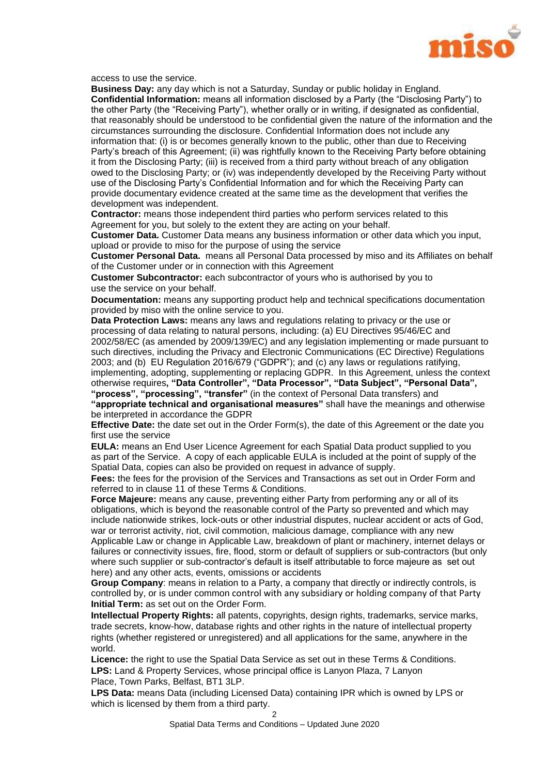

access to use the service.

**Business Day:** any day which is not a Saturday, Sunday or public holiday in England. **Confidential Information:** means all information disclosed by a Party (the "Disclosing Party") to the other Party (the "Receiving Party"), whether orally or in writing, if designated as confidential, that reasonably should be understood to be confidential given the nature of the information and the circumstances surrounding the disclosure. Confidential Information does not include any information that: (i) is or becomes generally known to the public, other than due to Receiving Party's breach of this Agreement; (ii) was rightfully known to the Receiving Party before obtaining it from the Disclosing Party; (iii) is received from a third party without breach of any obligation owed to the Disclosing Party; or (iv) was independently developed by the Receiving Party without use of the Disclosing Party's Confidential Information and for which the Receiving Party can provide documentary evidence created at the same time as the development that verifies the development was independent.

**Contractor:** means those independent third parties who perform services related to this Agreement for you, but solely to the extent they are acting on your behalf.

**Customer Data.** Customer Data means any business information or other data which you input, upload or provide to miso for the purpose of using the service

**Customer Personal Data.** means all Personal Data processed by miso and its Affiliates on behalf of the Customer under or in connection with this Agreement

**Customer Subcontractor:** each subcontractor of yours who is authorised by you to use the service on your behalf.

**Documentation:** means any supporting product help and technical specifications documentation provided by miso with the online service to you.

**Data Protection Laws:** means any laws and regulations relating to privacy or the use or processing of data relating to natural persons, including: (a) EU Directives 95/46/EC and 2002/58/EC (as amended by 2009/139/EC) and any legislation implementing or made pursuant to such directives, including the Privacy and Electronic Communications (EC Directive) Regulations 2003; and (b) EU Regulation 2016/679 ("GDPR"); and (c) any laws or regulations ratifying, implementing, adopting, supplementing or replacing GDPR. In this Agreement, unless the context otherwise requires**, "Data Controller", "Data Processor", "Data Subject", "Personal Data", "process", "processing", "transfer"** (in the context of Personal Data transfers) and **"appropriate technical and organisational measures"** shall have the meanings and otherwise be interpreted in accordance the GDPR

**Effective Date:** the date set out in the Order Form(s), the date of this Agreement or the date you first use the service

**EULA:** means an End User Licence Agreement for each Spatial Data product supplied to you as part of the Service. A copy of each applicable EULA is included at the point of supply of the Spatial Data, copies can also be provided on request in advance of supply.

**Fees:** the fees for the provision of the Services and Transactions as set out in Order Form and referred to in clause [11](#page-5-0) of these Terms & Conditions.

**Force Majeure:** means any cause, preventing either Party from performing any or all of its obligations, which is beyond the reasonable control of the Party so prevented and which may include nationwide strikes, lock-outs or other industrial disputes, nuclear accident or acts of God, war or terrorist activity, riot, civil commotion, malicious damage, compliance with any new Applicable Law or change in Applicable Law, breakdown of plant or machinery, internet delays or failures or connectivity issues, fire, flood, storm or default of suppliers or sub-contractors (but only where such supplier or sub-contractor's default is itself attributable to force majeure as set out here) and any other acts, events, omissions or accidents

**Group Company**: means in relation to a Party, a company that directly or indirectly controls, is controlled by, or is under common control with any subsidiary or holding company of that Party **Initial Term:** as set out on the Order Form.

**Intellectual Property Rights:** all patents, copyrights, design rights, trademarks, service marks, trade secrets, know-how, database rights and other rights in the nature of intellectual property rights (whether registered or unregistered) and all applications for the same, anywhere in the world.

**Licence:** the right to use the Spatial Data Service as set out in these Terms & Conditions. **LPS:** Land & Property Services, whose principal office is Lanyon Plaza, 7 Lanyon Place, Town Parks, Belfast, BT1 3LP.

**LPS Data:** means Data (including Licensed Data) containing IPR which is owned by LPS or which is licensed by them from a third party.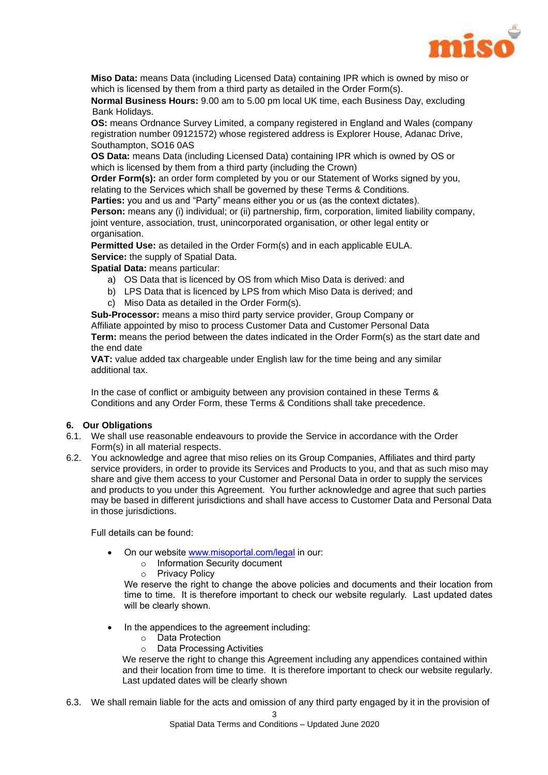

**Miso Data:** means Data (including Licensed Data) containing IPR which is owned by miso or which is licensed by them from a third party as detailed in the Order Form(s).

**Normal Business Hours:** 9.00 am to 5.00 pm local UK time, each Business Day, excluding Bank Holidays.

**OS:** means Ordnance Survey Limited, a company registered in England and Wales (company registration number 09121572) whose registered address is Explorer House, Adanac Drive, Southampton, SO16 0AS

**OS Data:** means Data (including Licensed Data) containing IPR which is owned by OS or which is licensed by them from a third party (including the Crown)

**Order Form(s):** an order form completed by you or our Statement of Works signed by you, relating to the Services which shall be governed by these Terms & Conditions.

**Parties:** you and us and "Party" means either you or us (as the context dictates).

**Person:** means any (i) individual; or (ii) partnership, firm, corporation, limited liability company, joint venture, association, trust, unincorporated organisation, or other legal entity or organisation.

**Permitted Use:** as detailed in the Order Form(s) and in each applicable EULA. **Service:** the supply of Spatial Data.

**Spatial Data:** means particular:

- a) OS Data that is licenced by OS from which Miso Data is derived: and
- b) LPS Data that is licenced by LPS from which Miso Data is derived; and
- c) Miso Data as detailed in the Order Form(s).

**Sub-Processor:** means a miso third party service provider, Group Company or Affiliate appointed by miso to process Customer Data and Customer Personal Data **Term:** means the period between the dates indicated in the Order Form(s) as the start date and the end date

**VAT:** value added tax chargeable under English law for the time being and any similar additional tax.

In the case of conflict or ambiguity between any provision contained in these Terms & Conditions and any Order Form, these Terms & Conditions shall take precedence.

#### **6. Our Obligations**

- 6.1. We shall use reasonable endeavours to provide the Service in accordance with the Order Form(s) in all material respects.
- 6.2. You acknowledge and agree that miso relies on its Group Companies, Affiliates and third party service providers, in order to provide its Services and Products to you, and that as such miso may share and give them access to your Customer and Personal Data in order to supply the services and products to you under this Agreement. You further acknowledge and agree that such parties may be based in different jurisdictions and shall have access to Customer Data and Personal Data in those jurisdictions.

Full details can be found:

- On our website [www.misoportal.com/legal](http://www.misoportal.com/legal) in our:
	- o Information Security document
	- o Privacy Policy

We reserve the right to change the above policies and documents and their location from time to time. It is therefore important to check our website regularly. Last updated dates will be clearly shown.

- In the appendices to the agreement including:
	- o Data Protection
	- o Data Processing Activities

We reserve the right to change this Agreement including any appendices contained within and their location from time to time. It is therefore important to check our website regularly. Last updated dates will be clearly shown

6.3. We shall remain liable for the acts and omission of any third party engaged by it in the provision of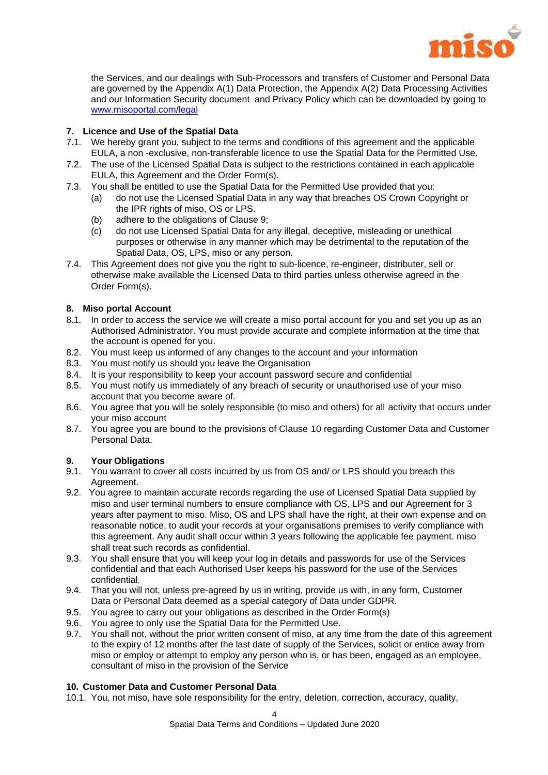

the Services, and our dealings with Sub-Processors and transfers of Customer and Personal Data are governed by the Appendix A(1) Data Protection, the Appendix A(2) Data Processing Activities and our Information Security document and Privacy Policy which can be downloaded by going to [www.misoportal.com/legal](http://www.misoportal.com/legal)

#### **7. Licence and Use of the Spatial Data**

- 7.1. We hereby grant you, subject to the terms and conditions of this agreement and the applicable EULA, a non -exclusive, non-transferable licence to use the Spatial Data for the Permitted Use.
- 7.2. The use of the Licensed Spatial Data is subject to the restrictions contained in each applicable EULA, this Agreement and the Order Form(s).
- 7.3. You shall be entitled to use the Spatial Data for the Permitted Use provided that you:
	- (a) do not use the Licensed Spatial Data in any way that breaches OS Crown Copyright or the IPR rights of miso, OS or LPS.
	- (b) adhere to the obligations of Clause [9;](#page-4-0)
	- (c) do not use Licensed Spatial Data for any illegal, deceptive, misleading or unethical purposes or otherwise in any manner which may be detrimental to the reputation of the Spatial Data, OS, LPS, miso or any person.
- 7.4. This Agreement does not give you the right to sub-licence, re-engineer, distributer, sell or otherwise make available the Licensed Data to third parties unless otherwise agreed in the Order Form(s).

#### <span id="page-4-2"></span>**8. Miso portal Account**

- 8.1. In order to access the service we will create a miso portal account for you and set you up as an Authorised Administrator. You must provide accurate and complete information at the time that the account is opened for you.
- 8.2. You must keep us informed of any changes to the account and your information
- 8.3. You must notify us should you leave the Organisation
- 8.4. It is your responsibility to keep your account password secure and confidential
- 8.5. You must notify us immediately of any breach of security or unauthorised use of your miso account that you become aware of.
- 8.6. You agree that you will be solely responsible (to miso and others) for all activity that occurs under your miso account
- 8.7. You agree you are bound to the provisions of Clause [10](#page-4-1) regarding Customer Data and Customer Personal Data.

#### <span id="page-4-0"></span>**9. Your Obligations**

- 9.1. You warrant to cover all costs incurred by us from OS and/ or LPS should you breach this Agreement.
- 9.2. You agree to maintain accurate records regarding the use of Licensed Spatial Data supplied by miso and user terminal numbers to ensure compliance with OS, LPS and our Agreement for 3 years after payment to miso. Miso, OS and LPS shall have the right, at their own expense and on reasonable notice, to audit your records at your organisations premises to verify compliance with this agreement. Any audit shall occur within 3 years following the applicable fee payment. miso shall treat such records as confidential.
- 9.3. You shall ensure that you will keep your log in details and passwords for use of the Services confidential and that each Authorised User keeps his password for the use of the Services confidential.
- 9.4. That you will not, unless pre-agreed by us in writing, provide us with, in any form, Customer Data or Personal Data deemed as a special category of Data under GDPR.
- 9.5. You agree to carry out your obligations as described in the Order Form(s)
- 9.6. You agree to only use the Spatial Data for the Permitted Use.
- 9.7. You shall not, without the prior written consent of miso, at any time from the date of this agreement to the expiry of 12 months after the last date of supply of the Services, solicit or entice away from miso or employ or attempt to employ any person who is, or has been, engaged as an employee, consultant of miso in the provision of the Service

#### <span id="page-4-1"></span>**10. Customer Data and Customer Personal Data**

10.1. You, not miso, have sole responsibility for the entry, deletion, correction, accuracy, quality,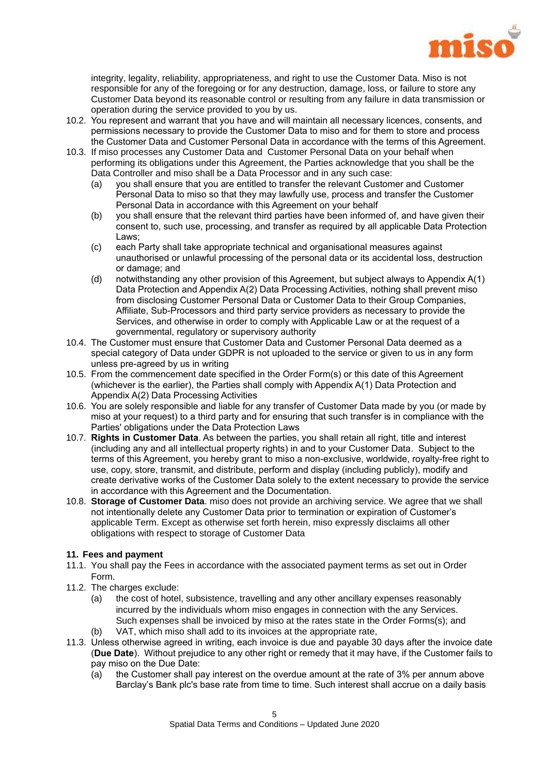

integrity, legality, reliability, appropriateness, and right to use the Customer Data. Miso is not responsible for any of the foregoing or for any destruction, damage, loss, or failure to store any Customer Data beyond its reasonable control or resulting from any failure in data transmission or operation during the service provided to you by us.

- 10.2. You represent and warrant that you have and will maintain all necessary licences, consents, and permissions necessary to provide the Customer Data to miso and for them to store and process the Customer Data and Customer Personal Data in accordance with the terms of this Agreement.
- 10.3. If miso processes any Customer Data and Customer Personal Data on your behalf when performing its obligations under this Agreement, the Parties acknowledge that you shall be the Data Controller and miso shall be a Data Processor and in any such case:
	- (a) you shall ensure that you are entitled to transfer the relevant Customer and Customer Personal Data to miso so that they may lawfully use, process and transfer the Customer Personal Data in accordance with this Agreement on your behalf
	- (b) you shall ensure that the relevant third parties have been informed of, and have given their consent to, such use, processing, and transfer as required by all applicable Data Protection Laws;
	- (c) each Party shall take appropriate technical and organisational measures against unauthorised or unlawful processing of the personal data or its accidental loss, destruction or damage; and
	- (d) notwithstanding any other provision of this Agreement, but subject always to Appendix A(1) Data Protection and Appendix A(2) Data Processing Activities, nothing shall prevent miso from disclosing Customer Personal Data or Customer Data to their Group Companies, Affiliate, Sub-Processors and third party service providers as necessary to provide the Services, and otherwise in order to comply with Applicable Law or at the request of a governmental, regulatory or supervisory authority
- 10.4. The Customer must ensure that Customer Data and Customer Personal Data deemed as a special category of Data under GDPR is not uploaded to the service or given to us in any form unless pre-agreed by us in writing
- 10.5. From the commencement date specified in the Order Form(s) or this date of this Agreement (whichever is the earlier), the Parties shall comply with Appendix A(1) Data Protection and Appendix A(2) Data Processing Activities
- 10.6. You are solely responsible and liable for any transfer of Customer Data made by you (or made by miso at your request) to a third party and for ensuring that such transfer is in compliance with the Parties' obligations under the Data Protection Laws
- 10.7. **Rights in Customer Data**. As between the parties, you shall retain all right, title and interest (including any and all intellectual property rights) in and to your Customer Data. Subject to the terms of this Agreement, you hereby grant to miso a non-exclusive, worldwide, royalty-free right to use, copy, store, transmit, and distribute, perform and display (including publicly), modify and create derivative works of the Customer Data solely to the extent necessary to provide the service in accordance with this Agreement and the Documentation.
- 10.8. **Storage of Customer Data**. miso does not provide an archiving service. We agree that we shall not intentionally delete any Customer Data prior to termination or expiration of Customer's applicable Term. Except as otherwise set forth herein, miso expressly disclaims all other obligations with respect to storage of Customer Data

### <span id="page-5-0"></span>**11. Fees and payment**

- 11.1. You shall pay the Fees in accordance with the associated payment terms as set out in Order Form.
- 11.2. The charges exclude:
	- (a) the cost of hotel, subsistence, travelling and any other ancillary expenses reasonably incurred by the individuals whom miso engages in connection with the any Services. Such expenses shall be invoiced by miso at the rates state in the Order Forms(s); and (b) VAT, which miso shall add to its invoices at the appropriate rate,
- 11.3. Unless otherwise agreed in writing, each invoice is due and payable 30 days after the invoice date (**Due Date**). Without prejudice to any other right or remedy that it may have, if the Customer fails to pay miso on the Due Date:
	- (a) the Customer shall pay interest on the overdue amount at the rate of 3% per annum above Barclay's Bank plc's base rate from time to time. Such interest shall accrue on a daily basis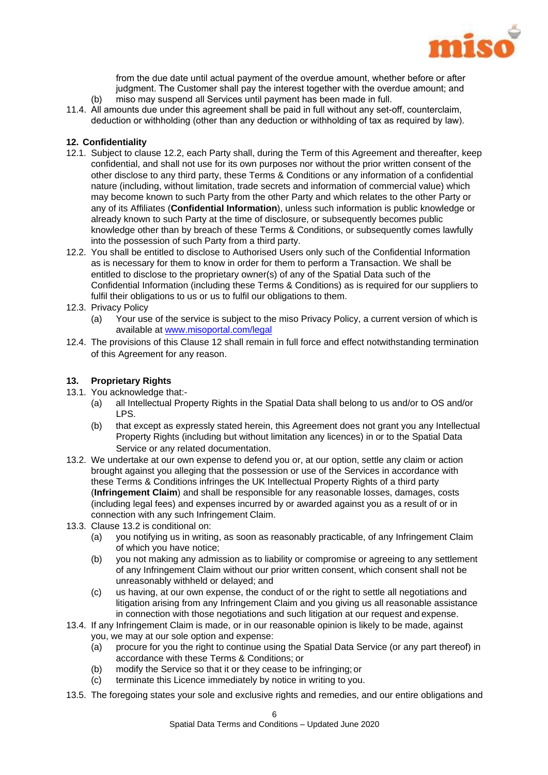

from the due date until actual payment of the overdue amount, whether before or after judgment. The Customer shall pay the interest together with the overdue amount; and (b) miso may suspend all Services until payment has been made in full.

11.4. All amounts due under this agreement shall be paid in full without any set-off, counterclaim, deduction or withholding (other than any deduction or withholding of tax as required by law).

#### <span id="page-6-1"></span>**12. Confidentiality**

- 12.1. Subject to clause [12.2, e](#page-6-0)ach Party shall, during the Term of this Agreement and thereafter, keep confidential, and shall not use for its own purposes nor without the prior written consent of the other disclose to any third party, these Terms & Conditions or any information of a confidential nature (including, without limitation, trade secrets and information of commercial value) which may become known to such Party from the other Party and which relates to the other Party or any of its Affiliates (**Confidential Information**), unless such information is public knowledge or already known to such Party at the time of disclosure, or subsequently becomes public knowledge other than by breach of these Terms & Conditions, or subsequently comes lawfully into the possession of such Party from a third party.
- <span id="page-6-0"></span>12.2. You shall be entitled to disclose to Authorised Users only such of the Confidential Information as is necessary for them to know in order for them to perform a Transaction. We shall be entitled to disclose to the proprietary owner(s) of any of the Spatial Data such of the Confidential Information (including these Terms & Conditions) as is required for our suppliers to fulfil their obligations to us or us to fulfil our obligations to them.
- 12.3. Privacy Policy
	- (a) Your use of the service is subject to the miso Privacy Policy, a current version of which is available at [www.misoportal.com/legal](http://www.misoportal.com/legal)
- 12.4. The provisions of this Clause [12](#page-6-1) shall remain in full force and effect notwithstanding termination of this Agreement for any reason.

#### <span id="page-6-3"></span>**13. Proprietary Rights**

- 13.1. You acknowledge that:-
	- (a) all Intellectual Property Rights in the Spatial Data shall belong to us and/or to OS and/or LPS.
	- (b) that except as expressly stated herein, this Agreement does not grant you any Intellectual Property Rights (including but without limitation any licences) in or to the Spatial Data Service or any related documentation.
- <span id="page-6-2"></span>13.2. We undertake at our own expense to defend you or, at our option, settle any claim or action brought against you alleging that the possession or use of the Services in accordance with these Terms & Conditions infringes the UK Intellectual Property Rights of a third party (**Infringement Claim**) and shall be responsible for any reasonable losses, damages, costs (including legal fees) and expenses incurred by or awarded against you as a result of or in connection with any such Infringement Claim.
- 13.3. Clause [13.2](#page-6-2) is conditional on:
	- (a) you notifying us in writing, as soon as reasonably practicable, of any Infringement Claim of which you have notice;
	- (b) you not making any admission as to liability or compromise or agreeing to any settlement of any Infringement Claim without our prior written consent, which consent shall not be unreasonably withheld or delayed; and
	- (c) us having, at our own expense, the conduct of or the right to settle all negotiations and litigation arising from any Infringement Claim and you giving us all reasonable assistance in connection with those negotiations and such litigation at our request and expense.
- 13.4. If any Infringement Claim is made, or in our reasonable opinion is likely to be made, against you, we may at our sole option and expense:
	- (a) procure for you the right to continue using the Spatial Data Service (or any part thereof) in accordance with these Terms & Conditions; or
	- (b) modify the Service so that it or they cease to be infringing; or
	- (c) terminate this Licence immediately by notice in writing to you.
- 13.5. The foregoing states your sole and exclusive rights and remedies, and our entire obligations and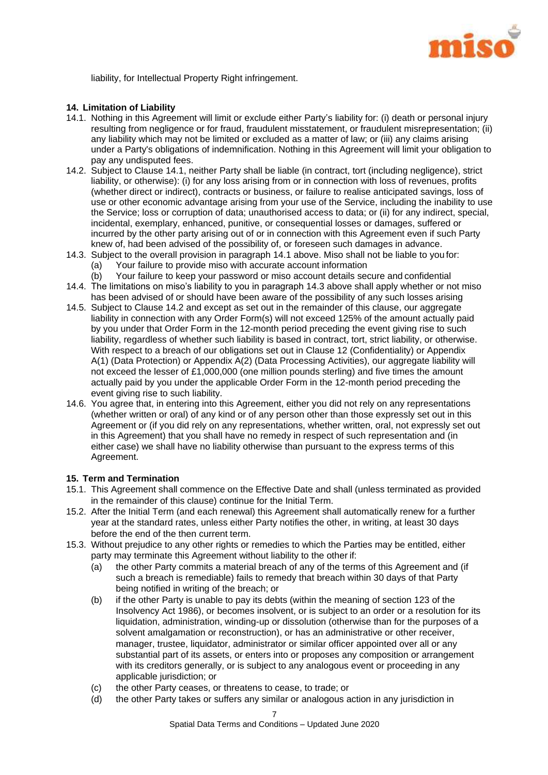

liability, for Intellectual Property Right infringement.

#### **14. Limitation of Liability**

- <span id="page-7-0"></span>14.1. Nothing in this Agreement will limit or exclude either Party's liability for: (i) death or personal injury resulting from negligence or for fraud, fraudulent misstatement, or fraudulent misrepresentation; (ii) any liability which may not be limited or excluded as a matter of law; or (iii) any claims arising under a Party's obligations of indemnification. Nothing in this Agreement will limit your obligation to pay any undisputed fees.
- <span id="page-7-2"></span>14.2. Subject to Clause [14.1,](#page-7-0) neither Party shall be liable (in contract, tort (including negligence), strict liability, or otherwise): (i) for any loss arising from or in connection with loss of revenues, profits (whether direct or indirect), contracts or business, or failure to realise anticipated savings, loss of use or other economic advantage arising from your use of the Service, including the inability to use the Service; loss or corruption of data; unauthorised access to data; or (ii) for any indirect, special, incidental, exemplary, enhanced, punitive, or consequential losses or damages, suffered or incurred by the other party arising out of or in connection with this Agreement even if such Party knew of, had been advised of the possibility of, or foreseen such damages in advance.
- <span id="page-7-1"></span>14.3. Subject to the overall provision in paragraph [14.1](#page-7-0) above. Miso shall not be liable to you for: (a) Your failure to provide miso with accurate account information
	- (b) Your failure to keep your password or miso account details secure and confidential
- 14.4. The limitations on miso's liability to you in paragraph [14.3](#page-7-1) above shall apply whether or not miso has been advised of or should have been aware of the possibility of any such losses arising
- 14.5. Subject to Clause [14.2](#page-7-2) and except as set out in the remainder of this clause, our aggregate liability in connection with any Order Form(s) will not exceed 125% of the amount actually paid by you under that Order Form in the 12-month period preceding the event giving rise to such liability, regardless of whether such liability is based in contract, tort, strict liability, or otherwise. With respect to a breach of our obligations set out in Clause [12](#page-6-1) (Confidentiality) or Appendix A(1) (Data Protection) or Appendix A(2) (Data Processing Activities), our aggregate liability will not exceed the lesser of £1,000,000 (one million pounds sterling) and five times the amount actually paid by you under the applicable Order Form in the 12-month period preceding the event giving rise to such liability.
- 14.6. You agree that, in entering into this Agreement, either you did not rely on any representations (whether written or oral) of any kind or of any person other than those expressly set out in this Agreement or (if you did rely on any representations, whether written, oral, not expressly set out in this Agreement) that you shall have no remedy in respect of such representation and (in either case) we shall have no liability otherwise than pursuant to the express terms of this Agreement.

#### **15. Term and Termination**

- 15.1. This Agreement shall commence on the Effective Date and shall (unless terminated as provided in the remainder of this clause) continue for the Initial Term.
- 15.2. After the Initial Term (and each renewal) this Agreement shall automatically renew for a further year at the standard rates, unless either Party notifies the other, in writing, at least 30 days before the end of the then current term.
- 15.3. Without prejudice to any other rights or remedies to which the Parties may be entitled, either party may terminate this Agreement without liability to the other if:
	- (a) the other Party commits a material breach of any of the terms of this Agreement and (if such a breach is remediable) fails to remedy that breach within 30 days of that Party being notified in writing of the breach; or
	- (b) if the other Party is unable to pay its debts (within the meaning of section 123 of the Insolvency Act 1986), or becomes insolvent, or is subject to an order or a resolution for its liquidation, administration, winding-up or dissolution (otherwise than for the purposes of a solvent amalgamation or reconstruction), or has an administrative or other receiver, manager, trustee, liquidator, administrator or similar officer appointed over all or any substantial part of its assets, or enters into or proposes any composition or arrangement with its creditors generally, or is subject to any analogous event or proceeding in any applicable jurisdiction; or
	- (c) the other Party ceases, or threatens to cease, to trade; or
	- (d) the other Party takes or suffers any similar or analogous action in any jurisdiction in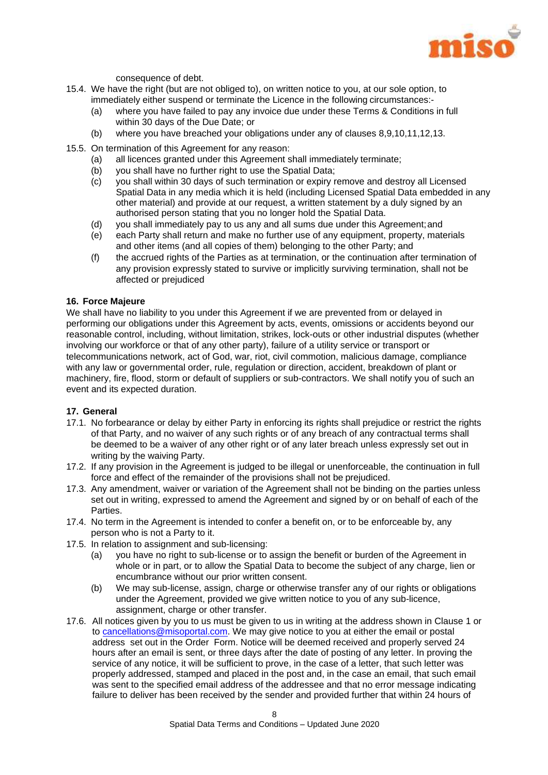

consequence of debt.

- 15.4. We have the right (but are not obliged to), on written notice to you, at our sole option, to immediately either suspend or terminate the Licence in the following circumstances:-
	- (a) where you have failed to pay any invoice due under these Terms & Conditions in full within 30 days of the Due Date; or
	- (b) where you have breached your obligations under any of clauses [8,](#page-4-2)[9](#page-4-0)[,10](#page-4-1)[,11,](#page-5-0)[12,](#page-6-1)[13.](#page-6-3)
- 15.5. On termination of this Agreement for any reason:
	- (a) all licences granted under this Agreement shall immediately terminate;
	- (b) you shall have no further right to use the Spatial Data;
	- (c) you shall within 30 days of such termination or expiry remove and destroy all Licensed Spatial Data in any media which it is held (including Licensed Spatial Data embedded in any other material) and provide at our request, a written statement by a duly signed by an authorised person stating that you no longer hold the Spatial Data.
	- (d) you shall immediately pay to us any and all sums due under this Agreement;and
	- (e) each Party shall return and make no further use of any equipment, property, materials and other items (and all copies of them) belonging to the other Party; and
	- (f) the accrued rights of the Parties as at termination, or the continuation after termination of any provision expressly stated to survive or implicitly surviving termination, shall not be affected or prejudiced

#### **16. Force Majeure**

We shall have no liability to you under this Agreement if we are prevented from or delayed in performing our obligations under this Agreement by acts, events, omissions or accidents beyond our reasonable control, including, without limitation, strikes, lock-outs or other industrial disputes (whether involving our workforce or that of any other party), failure of a utility service or transport or telecommunications network, act of God, war, riot, civil commotion, malicious damage, compliance with any law or governmental order, rule, regulation or direction, accident, breakdown of plant or machinery, fire, flood, storm or default of suppliers or sub-contractors. We shall notify you of such an event and its expected duration.

#### <span id="page-8-0"></span>**17. General**

- 17.1. No forbearance or delay by either Party in enforcing its rights shall prejudice or restrict the rights of that Party, and no waiver of any such rights or of any breach of any contractual terms shall be deemed to be a waiver of any other right or of any later breach unless expressly set out in writing by the waiving Party.
- 17.2. If any provision in the Agreement is judged to be illegal or unenforceable, the continuation in full force and effect of the remainder of the provisions shall not be prejudiced.
- 17.3. Any amendment, waiver or variation of the Agreement shall not be binding on the parties unless set out in writing, expressed to amend the Agreement and signed by or on behalf of each of the **Parties**
- 17.4. No term in the Agreement is intended to confer a benefit on, or to be enforceable by, any person who is not a Party to it.
- 17.5. In relation to assignment and sub-licensing:
	- (a) you have no right to sub-license or to assign the benefit or burden of the Agreement in whole or in part, or to allow the Spatial Data to become the subject of any charge, lien or encumbrance without our prior written consent.
	- (b) We may sub-license, assign, charge or otherwise transfer any of our rights or obligations under the Agreement, provided we give written notice to you of any sub-licence, assignment, charge or other transfer.
- 17.6. All notices given by you to us must be given to us in writing at the address shown in Clause 1 or to [cancellations@misoportal.com.](mailto:cancellations@misoportal.com) We may give notice to you at either the email or postal address set out in the Order Form. Notice will be deemed received and properly served 24 hours after an email is sent, or three days after the date of posting of any letter. In proving the service of any notice, it will be sufficient to prove, in the case of a letter, that such letter was properly addressed, stamped and placed in the post and, in the case an email, that such email was sent to the specified email address of the addressee and that no error message indicating failure to deliver has been received by the sender and provided further that within 24 hours of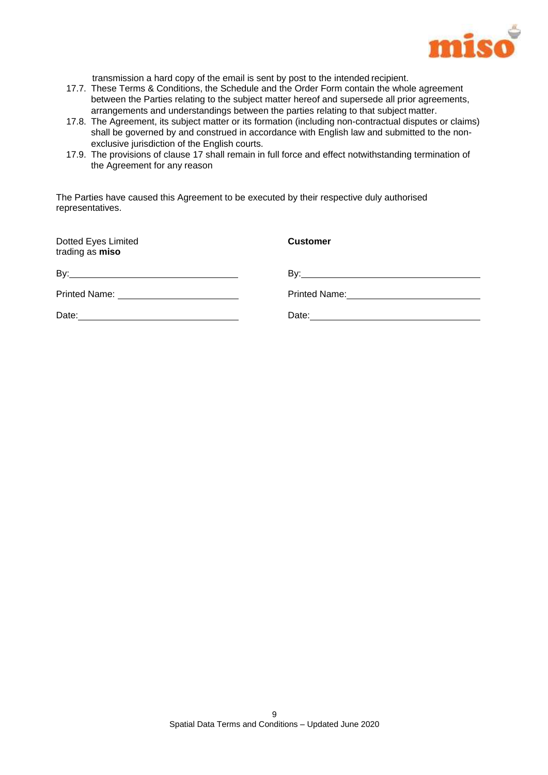

transmission a hard copy of the email is sent by post to the intended recipient.

- 17.7. These Terms & Conditions, the Schedule and the Order Form contain the whole agreement between the Parties relating to the subject matter hereof and supersede all prior agreements, arrangements and understandings between the parties relating to that subject matter.
- 17.8. The Agreement, its subject matter or its formation (including non-contractual disputes or claims) shall be governed by and construed in accordance with English law and submitted to the nonexclusive jurisdiction of the English courts.
- 17.9. The provisions of clause [17](#page-8-0) shall remain in full force and effect notwithstanding termination of the Agreement for any reason

The Parties have caused this Agreement to be executed by their respective duly authorised representatives.

| Dotted Eyes Limited<br>trading as miso      | <b>Customer</b> |
|---------------------------------------------|-----------------|
|                                             |                 |
| Printed Name: _____________________________ |                 |
| Date:                                       |                 |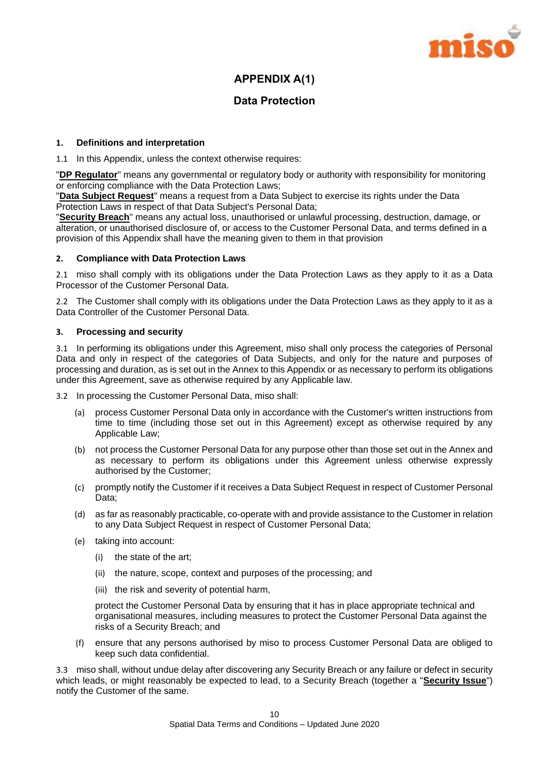

## **APPENDIX A(1)**

## **Data Protection**

#### **1. Definitions and interpretation**

1.1 In this Appendix, unless the context otherwise requires:

"**DP Regulator**" means any governmental or regulatory body or authority with responsibility for monitoring or enforcing compliance with the Data Protection Laws;

"**Data Subject Request**" means a request from a Data Subject to exercise its rights under the Data Protection Laws in respect of that Data Subject's Personal Data;

"**Security Breach**" means any actual loss, unauthorised or unlawful processing, destruction, damage, or alteration, or unauthorised disclosure of, or access to the Customer Personal Data, and terms defined in a provision of this Appendix shall have the meaning given to them in that provision

#### **2. Compliance with Data Protection Laws**

2.1 miso shall comply with its obligations under the Data Protection Laws as they apply to it as a Data Processor of the Customer Personal Data.

2.2 The Customer shall comply with its obligations under the Data Protection Laws as they apply to it as a Data Controller of the Customer Personal Data.

#### **3. Processing and security**

3.1 In performing its obligations under this Agreement, miso shall only process the categories of Personal Data and only in respect of the categories of Data Subjects, and only for the nature and purposes of processing and duration, as is set out in the Annex to this Appendix or as necessary to perform its obligations under this Agreement, save as otherwise required by any Applicable law.

3.2 In processing the Customer Personal Data, miso shall:

- (a) process Customer Personal Data only in accordance with the Customer's written instructions from time to time (including those set out in this Agreement) except as otherwise required by any Applicable Law;
- (b) not process the Customer Personal Data for any purpose other than those set out in the Annex and as necessary to perform its obligations under this Agreement unless otherwise expressly authorised by the Customer;
- (c) promptly notify the Customer if it receives a Data Subject Request in respect of Customer Personal Data;
- (d) as far as reasonably practicable, co-operate with and provide assistance to the Customer in relation to any Data Subject Request in respect of Customer Personal Data;
- (e) taking into account:
	- (i) the state of the art;
	- (ii) the nature, scope, context and purposes of the processing; and
	- (iii) the risk and severity of potential harm,

protect the Customer Personal Data by ensuring that it has in place appropriate technical and organisational measures, including measures to protect the Customer Personal Data against the risks of a Security Breach; and

(f) ensure that any persons authorised by miso to process Customer Personal Data are obliged to keep such data confidential.

3.3 miso shall, without undue delay after discovering any Security Breach or any failure or defect in security which leads, or might reasonably be expected to lead, to a Security Breach (together a "**Security Issue**") notify the Customer of the same.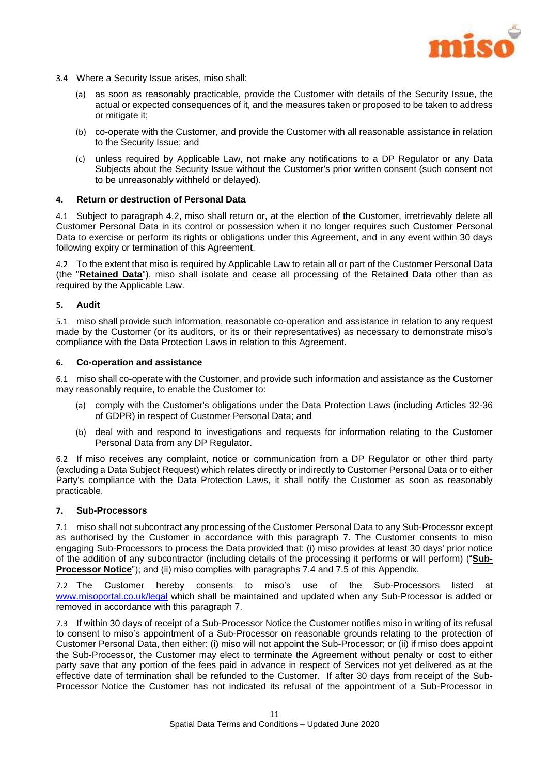

- 3.4 Where a Security Issue arises, miso shall:
	- (a) as soon as reasonably practicable, provide the Customer with details of the Security Issue, the actual or expected consequences of it, and the measures taken or proposed to be taken to address or mitigate it;
	- (b) co-operate with the Customer, and provide the Customer with all reasonable assistance in relation to the Security Issue; and
	- (c) unless required by Applicable Law, not make any notifications to a DP Regulator or any Data Subjects about the Security Issue without the Customer's prior written consent (such consent not to be unreasonably withheld or delayed).

#### **4. Return or destruction of Personal Data**

4.1 Subject to paragraph [4.2,](#page-11-0) miso shall return or, at the election of the Customer, irretrievably delete all Customer Personal Data in its control or possession when it no longer requires such Customer Personal Data to exercise or perform its rights or obligations under this Agreement, and in any event within 30 days following expiry or termination of this Agreement.

<span id="page-11-0"></span>4.2 To the extent that miso is required by Applicable Law to retain all or part of the Customer Personal Data (the "**Retained Data**"), miso shall isolate and cease all processing of the Retained Data other than as required by the Applicable Law.

#### **5. Audit**

5.1 miso shall provide such information, reasonable co-operation and assistance in relation to any request made by the Customer (or its auditors, or its or their representatives) as necessary to demonstrate miso's compliance with the Data Protection Laws in relation to this Agreement.

#### **6. Co-operation and assistance**

6.1 miso shall co-operate with the Customer, and provide such information and assistance as the Customer may reasonably require, to enable the Customer to:

- (a) comply with the Customer's obligations under the Data Protection Laws (including Articles 32-36 of GDPR) in respect of Customer Personal Data; and
- (b) deal with and respond to investigations and requests for information relating to the Customer Personal Data from any DP Regulator.

6.2 If miso receives any complaint, notice or communication from a DP Regulator or other third party (excluding a Data Subject Request) which relates directly or indirectly to Customer Personal Data or to either Party's compliance with the Data Protection Laws, it shall notify the Customer as soon as reasonably practicable.

#### <span id="page-11-1"></span>**7. Sub-Processors**

7.1 miso shall not subcontract any processing of the Customer Personal Data to any Sub-Processor except as authorised by the Customer in accordance with this paragraph [7.](#page-11-1) The Customer consents to miso engaging Sub-Processors to process the Data provided that: (i) miso provides at least 30 days' prior notice of the addition of any subcontractor (including details of the processing it performs or will perform) ("**Sub-Processor Notice**"); and (ii) miso complies with paragraphs [7.4](#page-12-0) and [7.5](#page-12-1) of this Appendix.

7.2 The Customer hereby consents to miso's use of the Sub-Processors listed at [www.misoportal.co.uk/legal](http://www.misoportal.co.uk/legal) which shall be maintained and updated when any Sub-Processor is added or removed in accordance with this paragraph [7.](#page-11-1)

7.3 If within 30 days of receipt of a Sub-Processor Notice the Customer notifies miso in writing of its refusal to consent to miso's appointment of a Sub-Processor on reasonable grounds relating to the protection of Customer Personal Data, then either: (i) miso will not appoint the Sub-Processor; or (ii) if miso does appoint the Sub-Processor, the Customer may elect to terminate the Agreement without penalty or cost to either party save that any portion of the fees paid in advance in respect of Services not yet delivered as at the effective date of termination shall be refunded to the Customer. If after 30 days from receipt of the Sub-Processor Notice the Customer has not indicated its refusal of the appointment of a Sub-Processor in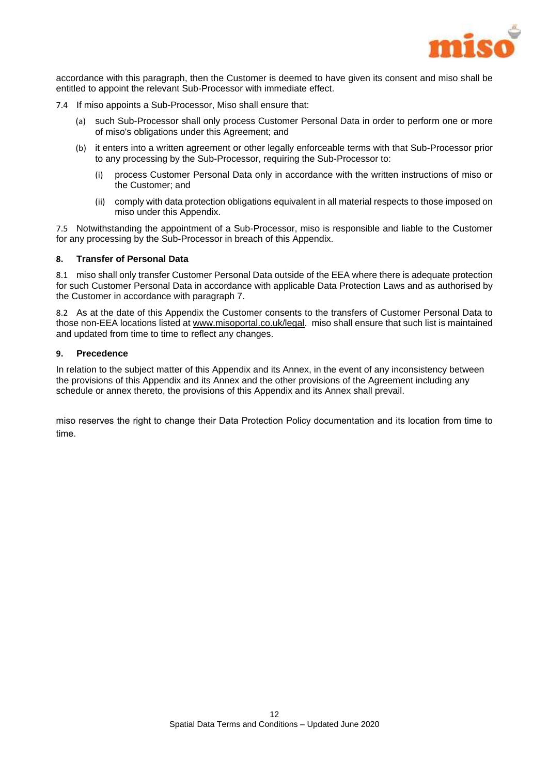

accordance with this paragraph, then the Customer is deemed to have given its consent and miso shall be entitled to appoint the relevant Sub-Processor with immediate effect.

- <span id="page-12-0"></span>7.4 If miso appoints a Sub-Processor, Miso shall ensure that:
	- (a) such Sub-Processor shall only process Customer Personal Data in order to perform one or more of miso's obligations under this Agreement; and
	- (b) it enters into a written agreement or other legally enforceable terms with that Sub-Processor prior to any processing by the Sub-Processor, requiring the Sub-Processor to:
		- (i) process Customer Personal Data only in accordance with the written instructions of miso or the Customer; and
		- (ii) comply with data protection obligations equivalent in all material respects to those imposed on miso under this Appendix.

<span id="page-12-1"></span>7.5 Notwithstanding the appointment of a Sub-Processor, miso is responsible and liable to the Customer for any processing by the Sub-Processor in breach of this Appendix.

#### **8. Transfer of Personal Data**

8.1 miso shall only transfer Customer Personal Data outside of the EEA where there is adequate protection for such Customer Personal Data in accordance with applicable Data Protection Laws and as authorised by the Customer in accordance with paragraph 7.

8.2 As at the date of this Appendix the Customer consents to the transfers of Customer Personal Data to those non-EEA locations listed a[t www.misoportal.co.uk/legal.](http://www.misoportal.co.uk/legal) miso shall ensure that such list is maintained and updated from time to time to reflect any changes.

#### **9. Precedence**

In relation to the subject matter of this Appendix and its Annex, in the event of any inconsistency between the provisions of this Appendix and its Annex and the other provisions of the Agreement including any schedule or annex thereto, the provisions of this Appendix and its Annex shall prevail.

miso reserves the right to change their Data Protection Policy documentation and its location from time to time.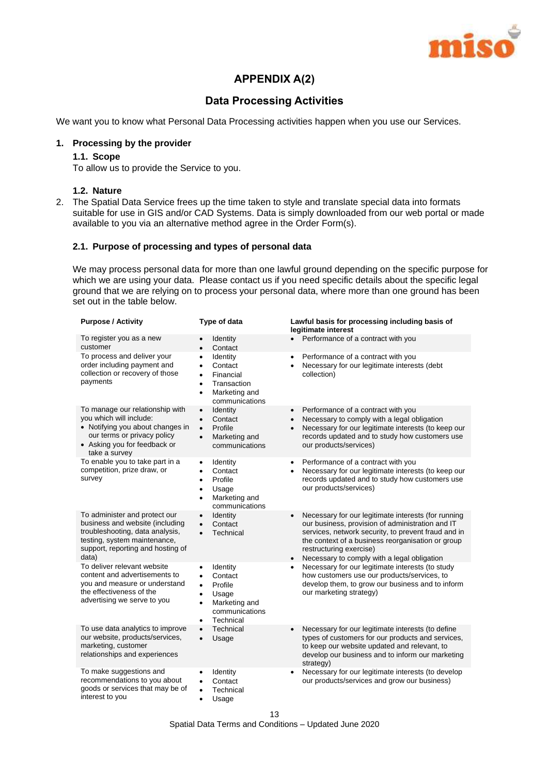

## **APPENDIX A(2)**

## **Data Processing Activities**

We want you to know what Personal Data Processing activities happen when you use our Services.

#### **1. Processing by the provider**

#### **1.1. Scope**

To allow us to provide the Service to you.

#### **1.2. Nature**

2. The Spatial Data Service frees up the time taken to style and translate special data into formats suitable for use in GIS and/or CAD Systems. Data is simply downloaded from our web portal or made available to you via an alternative method agree in the Order Form(s).

#### **2.1. Purpose of processing and types of personal data**

We may process personal data for more than one lawful ground depending on the specific purpose for which we are using your data. Please contact us if you need specific details about the specific legal ground that we are relying on to process your personal data, where more than one ground has been set out in the table below.

| <b>Purpose / Activity</b>                                                                                                                                                         | Type of data                                                                                                                                                          | Lawful basis for processing including basis of<br>legitimate interest                                                                                                                                                                                                                                                   |
|-----------------------------------------------------------------------------------------------------------------------------------------------------------------------------------|-----------------------------------------------------------------------------------------------------------------------------------------------------------------------|-------------------------------------------------------------------------------------------------------------------------------------------------------------------------------------------------------------------------------------------------------------------------------------------------------------------------|
| To register you as a new<br>customer                                                                                                                                              | Identity<br>Contact<br>$\bullet$                                                                                                                                      | Performance of a contract with you                                                                                                                                                                                                                                                                                      |
| To process and deliver your<br>order including payment and<br>collection or recovery of those<br>payments                                                                         | Identity<br>$\bullet$<br>Contact<br>٠<br>Financial<br>$\bullet$<br>Transaction<br>$\bullet$<br>Marketing and<br>$\bullet$<br>communications                           | Performance of a contract with you<br>$\bullet$<br>Necessary for our legitimate interests (debt<br>$\bullet$<br>collection)                                                                                                                                                                                             |
| To manage our relationship with<br>you which will include:<br>• Notifying you about changes in<br>our terms or privacy policy<br>• Asking you for feedback or<br>take a survey    | <b>Identity</b><br>$\bullet$<br>Contact<br>$\bullet$<br>Profile<br>$\bullet$<br>Marketing and<br>$\bullet$<br>communications                                          | Performance of a contract with you<br>$\bullet$<br>Necessary to comply with a legal obligation<br>$\bullet$<br>Necessary for our legitimate interests (to keep our<br>$\bullet$<br>records updated and to study how customers use<br>our products/services)                                                             |
| To enable you to take part in a<br>competition, prize draw, or<br>survey                                                                                                          | Identity<br>$\bullet$<br>Contact<br>$\bullet$<br>Profile<br>$\bullet$<br>Usage<br>$\bullet$<br>Marketing and<br>$\bullet$<br>communications                           | Performance of a contract with you<br>$\bullet$<br>Necessary for our legitimate interests (to keep our<br>$\bullet$<br>records updated and to study how customers use<br>our products/services)                                                                                                                         |
| To administer and protect our<br>business and website (including<br>troubleshooting, data analysis,<br>testing, system maintenance,<br>support, reporting and hosting of<br>data) | Identity<br>$\bullet$<br>Contact<br>$\bullet$<br>Technical<br>$\bullet$                                                                                               | Necessary for our legitimate interests (for running<br>$\bullet$<br>our business, provision of administration and IT<br>services, network security, to prevent fraud and in<br>the context of a business reorganisation or group<br>restructuring exercise)<br>Necessary to comply with a legal obligation<br>$\bullet$ |
| To deliver relevant website<br>content and advertisements to<br>you and measure or understand<br>the effectiveness of the<br>advertising we serve to you                          | Identity<br>$\bullet$<br>Contact<br>$\bullet$<br>Profile<br>$\bullet$<br>Usage<br>$\bullet$<br>Marketing and<br>$\bullet$<br>communications<br>Technical<br>$\bullet$ | Necessary for our legitimate interests (to study<br>$\bullet$<br>how customers use our products/services, to<br>develop them, to grow our business and to inform<br>our marketing strategy)                                                                                                                             |
| To use data analytics to improve<br>our website, products/services,<br>marketing, customer<br>relationships and experiences                                                       | Technical<br>$\bullet$<br>Usage<br>$\bullet$                                                                                                                          | Necessary for our legitimate interests (to define<br>$\bullet$<br>types of customers for our products and services,<br>to keep our website updated and relevant, to<br>develop our business and to inform our marketing<br>strategy)                                                                                    |
| To make suggestions and<br>recommendations to you about<br>goods or services that may be of<br>interest to you                                                                    | Identity<br>٠<br>Contact<br>$\bullet$<br>Technical<br>$\bullet$<br>Usage                                                                                              | Necessary for our legitimate interests (to develop<br>$\bullet$<br>our products/services and grow our business)                                                                                                                                                                                                         |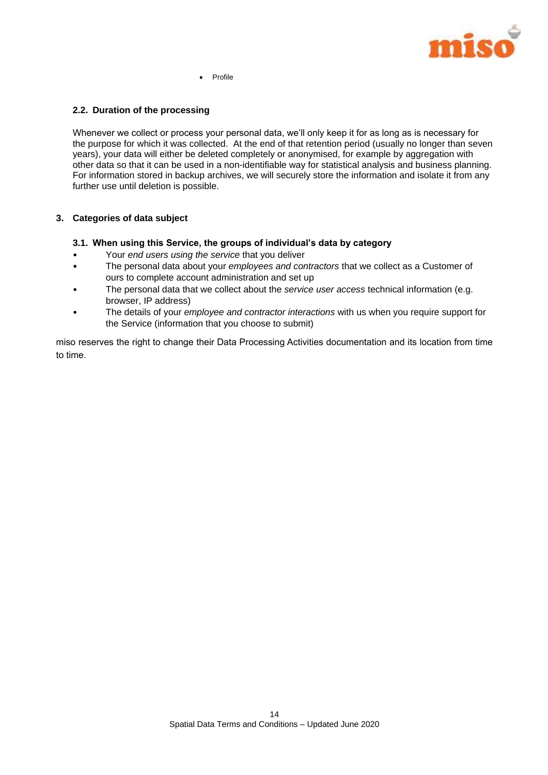

Profile

#### **2.2. Duration of the processing**

Whenever we collect or process your personal data, we'll only keep it for as long as is necessary for the purpose for which it was collected. At the end of that retention period (usually no longer than seven years), your data will either be deleted completely or anonymised, for example by aggregation with other data so that it can be used in a non-identifiable way for statistical analysis and business planning. For information stored in backup archives, we will securely store the information and isolate it from any further use until deletion is possible.

#### **3. Categories of data subject**

- **3.1. When using this Service, the groups of individual's data by category**
- Your *end users using the service* that you deliver
- The personal data about your *employees and contractors* that we collect as a Customer of ours to complete account administration and set up
- The personal data that we collect about the *service user access* technical information (e.g. browser, IP address)
- The details of your *employee and contractor interactions* with us when you require support for the Service (information that you choose to submit)

miso reserves the right to change their Data Processing Activities documentation and its location from time to time.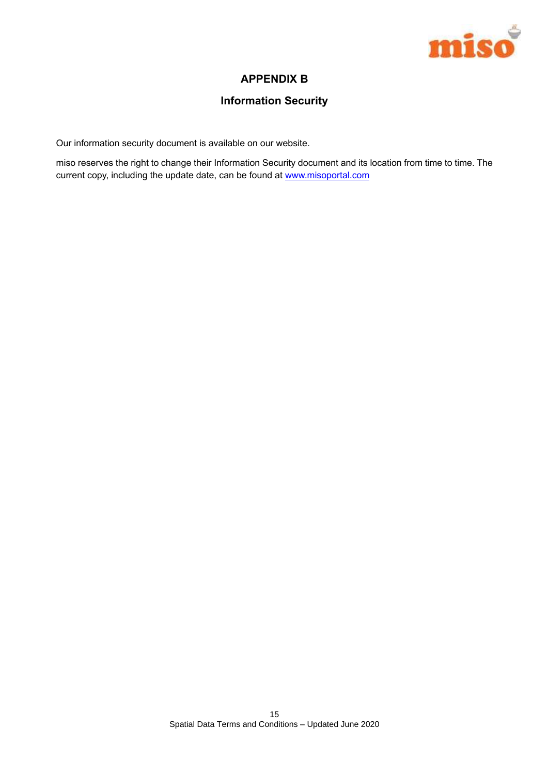

## **APPENDIX B**

## **Information Security**

Our information security document is available on our website.

miso reserves the right to change their Information Security document and its location from time to time. The current copy, including the update date, can be found at [www.misoportal.com](http://www.misoportal.com/legal)